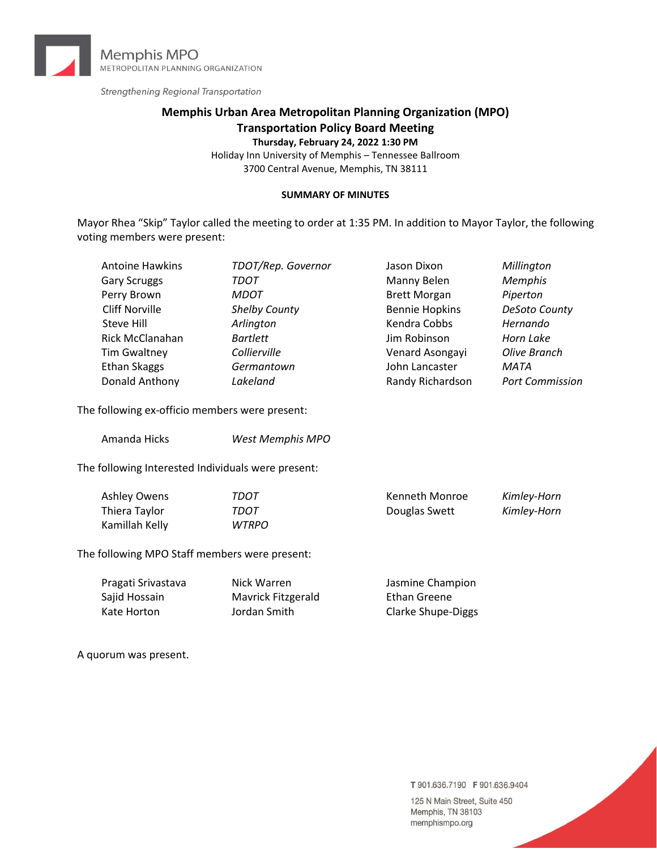

Strengthening Regional Transportation

# **Memphis Urban Area Metropolitan Planning Organization (MPO) Transportation Policy Board Meeting**

**Thursday, February 24, 2022 1:30 PM**

Holiday Inn University of Memphis – Tennessee Ballroom 3700 Central Avenue, Memphis, TN 38111

#### **SUMMARY OF MINUTES**

Mayor Rhea "Skip" Taylor called the meeting to order at 1:35 PM. In addition to Mayor Taylor, the following voting members were present:

| <b>Antoine Hawkins</b> | TDOT/Rep. Governor   | Jason Dixon           | Millington             |
|------------------------|----------------------|-----------------------|------------------------|
| <b>Gary Scruggs</b>    | TDOT                 | Manny Belen           | <b>Memphis</b>         |
| Perry Brown            | <b>MDOT</b>          | <b>Brett Morgan</b>   | Piperton               |
| <b>Cliff Norville</b>  | <b>Shelby County</b> | <b>Bennie Hopkins</b> | DeSoto County          |
| Steve Hill             | Arlington            | Kendra Cobbs          | Hernando               |
| Rick McClanahan        | <b>Bartlett</b>      | Jim Robinson          | Horn Lake              |
| <b>Tim Gwaltney</b>    | Collierville         | Venard Asongayi       | Olive Branch           |
| Ethan Skaggs           | Germantown           | John Lancaster        | MATA                   |
| Donald Anthony         | Lakeland             | Randy Richardson      | <b>Port Commission</b> |
|                        |                      |                       |                        |

The following ex-officio members were present:

| Amanda Hicks | <b>West Memphis MPO</b> |
|--------------|-------------------------|
|--------------|-------------------------|

The following Interested Individuals were present:

| Ashley Owens   | TDOT  | Kenneth Monroe | Kimley-Horn |
|----------------|-------|----------------|-------------|
| Thiera Taylor  | TDOT  | Douglas Swett  | Kimley-Horn |
| Kamillah Kelly | WTRPO |                |             |

The following MPO Staff members were present:

| Pragati Srivastava | Nick Warren        | Jasmine Champion          |
|--------------------|--------------------|---------------------------|
| Sajid Hossain      | Mavrick Fitzgerald | Ethan Greene              |
| Kate Horton        | Jordan Smith       | <b>Clarke Shupe-Diggs</b> |

A quorum was present.

T 901.636.7190 F 901.636.9404

125 N Main Street, Suite 450 Memphis, TN 38103 memphismpo.org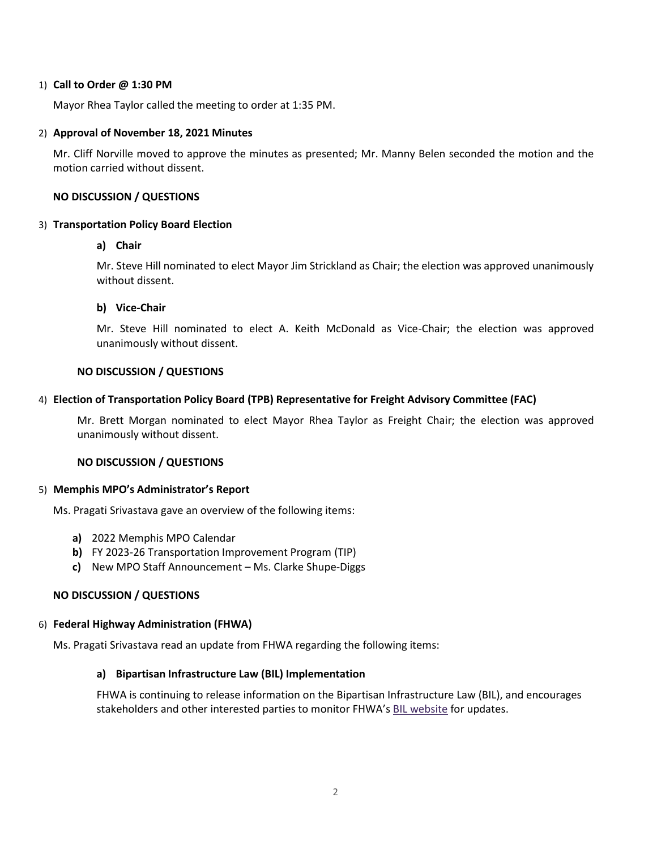### 1) **Call to Order @ 1:30 PM**

Mayor Rhea Taylor called the meeting to order at 1:35 PM.

# 2) **Approval of November 18, 2021 Minutes**

Mr. Cliff Norville moved to approve the minutes as presented; Mr. Manny Belen seconded the motion and the motion carried without dissent.

# **NO DISCUSSION / QUESTIONS**

# 3) **Transportation Policy Board Election**

# **a) Chair**

Mr. Steve Hill nominated to elect Mayor Jim Strickland as Chair; the election was approved unanimously without dissent.

# **b) Vice-Chair**

Mr. Steve Hill nominated to elect A. Keith McDonald as Vice-Chair; the election was approved unanimously without dissent.

# **NO DISCUSSION / QUESTIONS**

# 4) **Election of Transportation Policy Board (TPB) Representative for Freight Advisory Committee (FAC)**

Mr. Brett Morgan nominated to elect Mayor Rhea Taylor as Freight Chair; the election was approved unanimously without dissent.

# **NO DISCUSSION / QUESTIONS**

#### 5) **Memphis MPO's Administrator's Report**

Ms. Pragati Srivastava gave an overview of the following items:

- **a)** 2022 Memphis MPO Calendar
- **b)** FY 2023-26 Transportation Improvement Program (TIP)
- **c)** New MPO Staff Announcement Ms. Clarke Shupe-Diggs

# **NO DISCUSSION / QUESTIONS**

#### 6) **Federal Highway Administration (FHWA)**

Ms. Pragati Srivastava read an update from FHWA regarding the following items:

# **a) Bipartisan Infrastructure Law (BIL) Implementation**

FHWA is continuing to release information on the Bipartisan Infrastructure Law (BIL), and encourages stakeholders and other interested parties to monitor FHWA's [BIL website](https://www.fhwa.dot.gov/bipartisan-infrastructure-law/) for updates.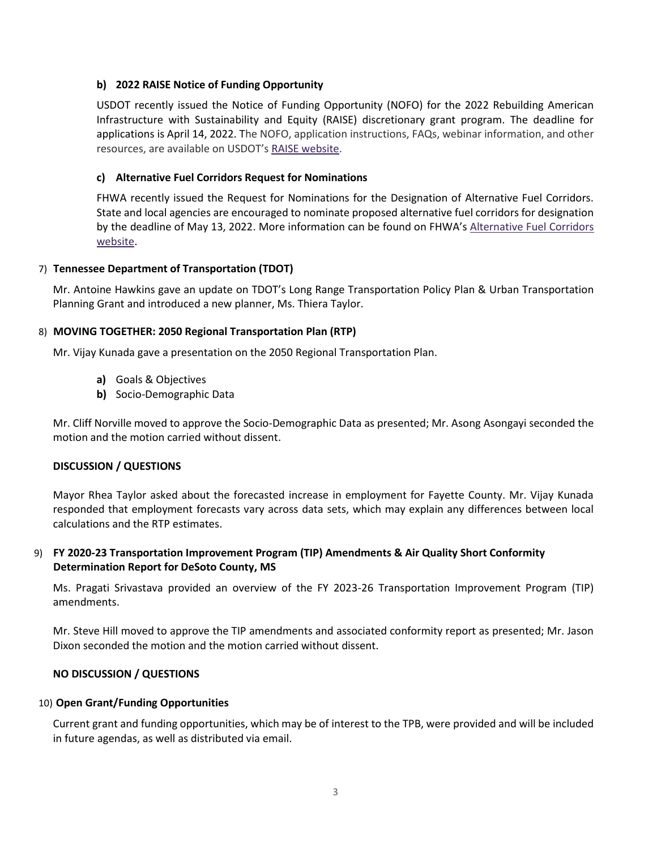# **b) 2022 RAISE Notice of Funding Opportunity**

USDOT recently issued the Notice of Funding Opportunity (NOFO) for the 2022 Rebuilding American Infrastructure with Sustainability and Equity (RAISE) discretionary grant program. The deadline for applications is April 14, 2022. The NOFO, application instructions, FAQs, webinar information, and other resources, are available on USDOT's [RAISE website.](https://www.transportation.gov/RAISEgrants)

# **c) Alternative Fuel Corridors Request for Nominations**

FHWA recently issued the Request for Nominations for the Designation of Alternative Fuel Corridors. State and local agencies are encouraged to nominate proposed alternative fuel corridors for designation by the deadline of May 13, 2022. More information can be found on FHWA's [Alternative Fuel Corridors](https://www.fhwa.dot.gov/environment/alternative_fuel_corridors/)  [website.](https://www.fhwa.dot.gov/environment/alternative_fuel_corridors/)

# 7) **Tennessee Department of Transportation (TDOT)**

Mr. Antoine Hawkins gave an update on TDOT's Long Range Transportation Policy Plan & Urban Transportation Planning Grant and introduced a new planner, Ms. Thiera Taylor.

# 8) **MOVING TOGETHER: 2050 Regional Transportation Plan (RTP)**

Mr. Vijay Kunada gave a presentation on the 2050 Regional Transportation Plan.

- **a)** Goals & Objectives
- **b)** Socio-Demographic Data

Mr. Cliff Norville moved to approve the Socio-Demographic Data as presented; Mr. Asong Asongayi seconded the motion and the motion carried without dissent.

#### **DISCUSSION / QUESTIONS**

Mayor Rhea Taylor asked about the forecasted increase in employment for Fayette County. Mr. Vijay Kunada responded that employment forecasts vary across data sets, which may explain any differences between local calculations and the RTP estimates.

# 9) **FY 2020-23 Transportation Improvement Program (TIP) Amendments & Air Quality Short Conformity Determination Report for DeSoto County, MS**

Ms. Pragati Srivastava provided an overview of the FY 2023-26 Transportation Improvement Program (TIP) amendments.

Mr. Steve Hill moved to approve the TIP amendments and associated conformity report as presented; Mr. Jason Dixon seconded the motion and the motion carried without dissent.

#### **NO DISCUSSION / QUESTIONS**

#### 10) **Open Grant/Funding Opportunities**

Current grant and funding opportunities, which may be of interest to the TPB, were provided and will be included in future agendas, as well as distributed via email.